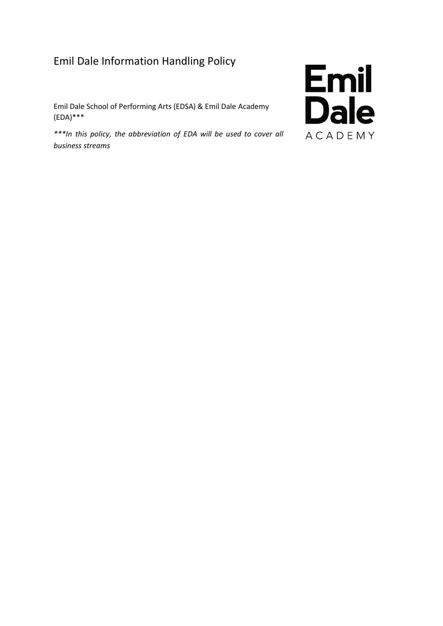# Emil Dale Information Handling Policy

Emil Dale School of Performing Arts (EDSA) & Emil Dale Academy (EDA)\*\*\*

*\*\*\*In this policy, the abbreviation of EDA will be used to cover all business streams*

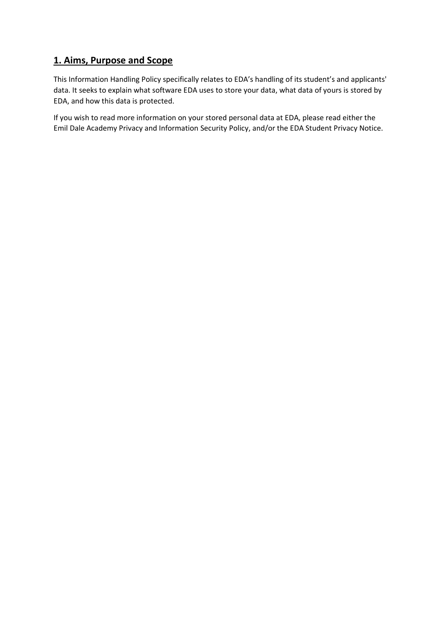# **1. Aims, Purpose and Scope**

This Information Handling Policy specifically relates to EDA's handling of its student's and applicants' data. It seeks to explain what software EDA uses to store your data, what data of yours is stored by EDA, and how this data is protected.

If you wish to read more information on your stored personal data at EDA, please read either the Emil Dale Academy Privacy and Information Security Policy, and/or the EDA Student Privacy Notice.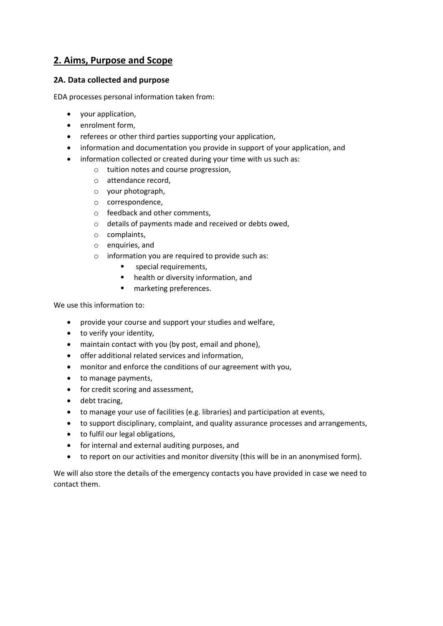# **2. Aims, Purpose and Scope**

#### **2A. Data collected and purpose**

EDA processes personal information taken from:

- your application,
- enrolment form,
- referees or other third parties supporting your application,
- information and documentation you provide in support of your application, and
- information collected or created during your time with us such as:
	- o tuition notes and course progression,
	- o attendance record,
	- o your photograph,
	- o correspondence,
	- o feedback and other comments,
	- o details of payments made and received or debts owed,
	- o complaints,
	- o enquiries, and
	- o information you are required to provide such as:
		- special requirements.
		- health or diversity information, and
		- marketing preferences.

We use this information to:

- provide your course and support your studies and welfare,
- to verify your identity,
- maintain contact with you (by post, email and phone),
- offer additional related services and information,
- monitor and enforce the conditions of our agreement with you,
- to manage payments,
- for credit scoring and assessment,
- debt tracing.
- to manage your use of facilities (e.g. libraries) and participation at events,
- to support disciplinary, complaint, and quality assurance processes and arrangements,
- to fulfil our legal obligations,
- for internal and external auditing purposes, and
- to report on our activities and monitor diversity (this will be in an anonymised form).

We will also store the details of the emergency contacts you have provided in case we need to contact them.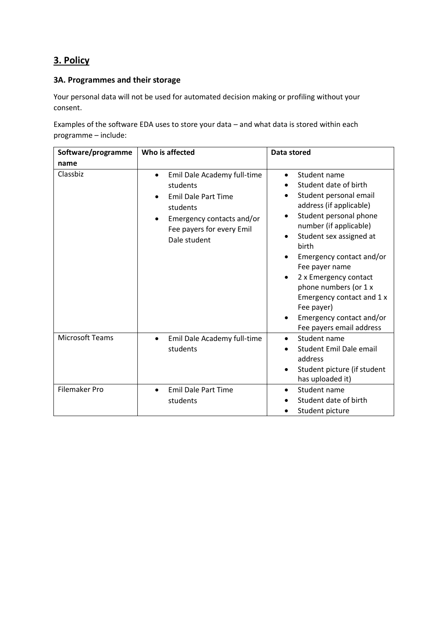# **3. Policy**

#### **3A. Programmes and their storage**

Your personal data will not be used for automated decision making or profiling without your consent.

Examples of the software EDA uses to store your data – and what data is stored within each programme – include:

| Software/programme   | Who is affected                                                                                                                                                          | Data stored                                                                                                                                                                                                                                                                                                                                                                                        |  |
|----------------------|--------------------------------------------------------------------------------------------------------------------------------------------------------------------------|----------------------------------------------------------------------------------------------------------------------------------------------------------------------------------------------------------------------------------------------------------------------------------------------------------------------------------------------------------------------------------------------------|--|
| name                 |                                                                                                                                                                          |                                                                                                                                                                                                                                                                                                                                                                                                    |  |
| Classbiz             | Emil Dale Academy full-time<br>$\bullet$<br>students<br><b>Emil Dale Part Time</b><br>students<br>Emergency contacts and/or<br>Fee payers for every Emil<br>Dale student | Student name<br>Student date of birth<br>Student personal email<br>address (if applicable)<br>Student personal phone<br>$\bullet$<br>number (if applicable)<br>Student sex assigned at<br>birth<br>Emergency contact and/or<br>Fee payer name<br>2 x Emergency contact<br>phone numbers (or 1 x<br>Emergency contact and 1 x<br>Fee payer)<br>Emergency contact and/or<br>Fee payers email address |  |
| Microsoft Teams      | Emil Dale Academy full-time<br>$\bullet$<br>students                                                                                                                     | Student name<br>Student Emil Dale email<br>address<br>Student picture (if student<br>has uploaded it)                                                                                                                                                                                                                                                                                              |  |
| <b>Filemaker Pro</b> | <b>Emil Dale Part Time</b><br>$\bullet$<br>students                                                                                                                      | Student name<br>$\bullet$<br>Student date of birth<br>Student picture                                                                                                                                                                                                                                                                                                                              |  |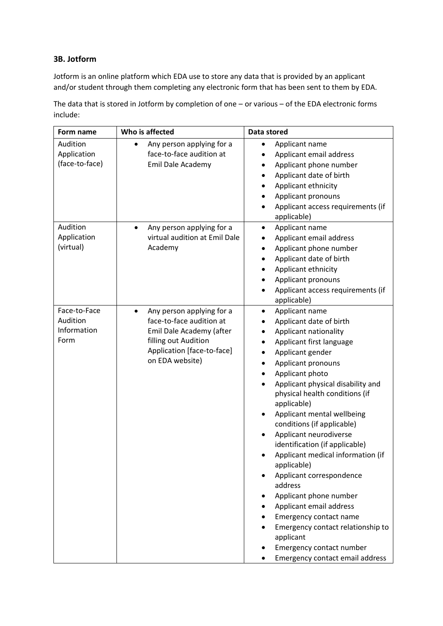#### **3B. Jotform**

Jotform is an online platform which EDA use to store any data that is provided by an applicant and/or student through them completing any electronic form that has been sent to them by EDA.

The data that is stored in Jotform by completion of one – or various – of the EDA electronic forms include: **Form name Who is affected Data stored**  $\overline{\phantom{a}}$ 

| Form name                                       | Who is affected                                                                                                                                                         | Data stored                                                                                                                                                                                                                                                                                                                                                                                                                                                                                                                                                                                                                                                                                                                |
|-------------------------------------------------|-------------------------------------------------------------------------------------------------------------------------------------------------------------------------|----------------------------------------------------------------------------------------------------------------------------------------------------------------------------------------------------------------------------------------------------------------------------------------------------------------------------------------------------------------------------------------------------------------------------------------------------------------------------------------------------------------------------------------------------------------------------------------------------------------------------------------------------------------------------------------------------------------------------|
| Audition<br>Application<br>(face-to-face)       | Any person applying for a<br>face-to-face audition at<br>Emil Dale Academy                                                                                              | Applicant name<br>Applicant email address<br>Applicant phone number<br>$\bullet$<br>Applicant date of birth<br>Applicant ethnicity<br>Applicant pronouns<br>Applicant access requirements (if<br>$\bullet$<br>applicable)                                                                                                                                                                                                                                                                                                                                                                                                                                                                                                  |
| Audition<br>Application<br>(virtual)            | Any person applying for a<br>$\bullet$<br>virtual audition at Emil Dale<br>Academy                                                                                      | Applicant name<br>$\bullet$<br>Applicant email address<br>٠<br>Applicant phone number<br>٠<br>Applicant date of birth<br>Applicant ethnicity<br>٠<br>Applicant pronouns<br>٠<br>Applicant access requirements (if<br>$\bullet$<br>applicable)                                                                                                                                                                                                                                                                                                                                                                                                                                                                              |
| Face-to-Face<br>Audition<br>Information<br>Form | Any person applying for a<br>$\bullet$<br>face-to-face audition at<br>Emil Dale Academy (after<br>filling out Audition<br>Application [face-to-face]<br>on EDA website) | Applicant name<br>$\bullet$<br>Applicant date of birth<br>Applicant nationality<br>٠<br>Applicant first language<br>$\bullet$<br>Applicant gender<br>$\bullet$<br>Applicant pronouns<br>٠<br>Applicant photo<br>٠<br>Applicant physical disability and<br>physical health conditions (if<br>applicable)<br>Applicant mental wellbeing<br>conditions (if applicable)<br>Applicant neurodiverse<br>identification (if applicable)<br>Applicant medical information (if<br>applicable)<br>Applicant correspondence<br>address<br>Applicant phone number<br>Applicant email address<br>Emergency contact name<br>Emergency contact relationship to<br>applicant<br>Emergency contact number<br>Emergency contact email address |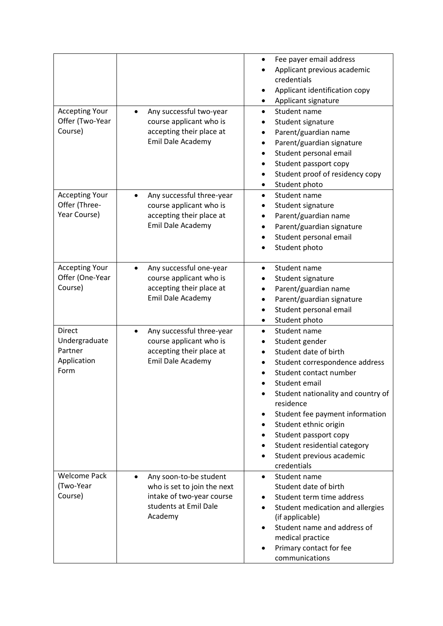| <b>Accepting Your</b><br>Offer (Two-Year<br>Course)              | Any successful two-year<br>$\bullet$<br>course applicant who is<br>accepting their place at<br>Emil Dale Academy                    | Fee payer email address<br>Applicant previous academic<br>credentials<br>Applicant identification copy<br>٠<br>Applicant signature<br>٠<br>Student name<br>$\bullet$<br>Student signature<br>Parent/guardian name<br>Parent/guardian signature<br>Student personal email<br>Student passport copy<br>Student proof of residency copy<br>٠<br>Student photo<br>$\bullet$                 |
|------------------------------------------------------------------|-------------------------------------------------------------------------------------------------------------------------------------|-----------------------------------------------------------------------------------------------------------------------------------------------------------------------------------------------------------------------------------------------------------------------------------------------------------------------------------------------------------------------------------------|
| <b>Accepting Your</b><br>Offer (Three-<br>Year Course)           | Any successful three-year<br>$\bullet$<br>course applicant who is<br>accepting their place at<br>Emil Dale Academy                  | Student name<br>$\bullet$<br>Student signature<br>Parent/guardian name<br>٠<br>Parent/guardian signature<br>Student personal email<br>Student photo                                                                                                                                                                                                                                     |
| <b>Accepting Your</b><br>Offer (One-Year<br>Course)              | Any successful one-year<br>$\bullet$<br>course applicant who is<br>accepting their place at<br>Emil Dale Academy                    | Student name<br>$\bullet$<br>Student signature<br>Parent/guardian name<br>Parent/guardian signature<br>Student personal email<br>Student photo<br>$\bullet$                                                                                                                                                                                                                             |
| <b>Direct</b><br>Undergraduate<br>Partner<br>Application<br>Form | Any successful three-year<br>$\bullet$<br>course applicant who is<br>accepting their place at<br>Emil Dale Academy                  | Student name<br>$\bullet$<br>Student gender<br>Student date of birth<br>Student correspondence address<br>Student contact number<br>Student email<br>Student nationality and country of<br>residence<br>Student fee payment information<br>Student ethnic origin<br>٠<br>Student passport copy<br>$\bullet$<br>Student residential category<br>Student previous academic<br>credentials |
| <b>Welcome Pack</b><br>(Two-Year<br>Course)                      | Any soon-to-be student<br>$\bullet$<br>who is set to join the next<br>intake of two-year course<br>students at Emil Dale<br>Academy | Student name<br>$\bullet$<br>Student date of birth<br>Student term time address<br>$\bullet$<br>Student medication and allergies<br>(if applicable)<br>Student name and address of<br>medical practice<br>Primary contact for fee<br>communications                                                                                                                                     |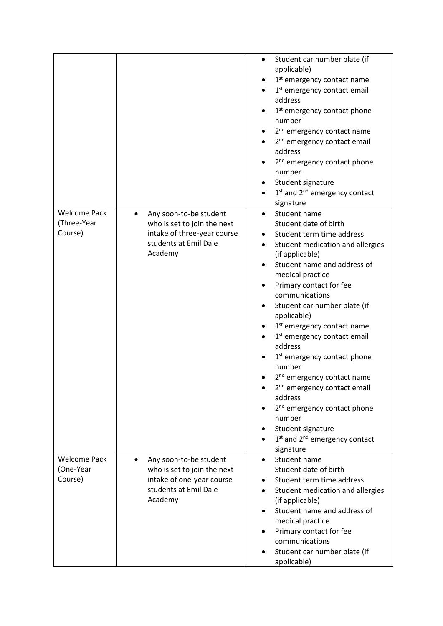|                                               |                                                                                                                                     | Student car number plate (if<br>$\bullet$<br>applicable)<br>1 <sup>st</sup> emergency contact name<br>1 <sup>st</sup> emergency contact email<br>address<br>1st emergency contact phone<br>number<br>2 <sup>nd</sup> emergency contact name<br>2 <sup>nd</sup> emergency contact email<br>address<br>2 <sup>nd</sup> emergency contact phone<br>number<br>Student signature<br>1 <sup>st</sup> and 2 <sup>nd</sup> emergency contact<br>signature                                                                                                                                                                                                                                          |
|-----------------------------------------------|-------------------------------------------------------------------------------------------------------------------------------------|--------------------------------------------------------------------------------------------------------------------------------------------------------------------------------------------------------------------------------------------------------------------------------------------------------------------------------------------------------------------------------------------------------------------------------------------------------------------------------------------------------------------------------------------------------------------------------------------------------------------------------------------------------------------------------------------|
| <b>Welcome Pack</b><br>(Three-Year<br>Course) | Any soon-to-be student<br>who is set to join the next<br>intake of three-year course<br>students at Emil Dale<br>Academy            | Student name<br>$\bullet$<br>Student date of birth<br>Student term time address<br>Student medication and allergies<br>(if applicable)<br>Student name and address of<br>medical practice<br>Primary contact for fee<br>communications<br>Student car number plate (if<br>applicable)<br>1 <sup>st</sup> emergency contact name<br>1 <sup>st</sup> emergency contact email<br>address<br>1 <sup>st</sup> emergency contact phone<br>number<br>2 <sup>nd</sup> emergency contact name<br>2 <sup>nd</sup> emergency contact email<br>address<br>2 <sup>nd</sup> emergency contact phone<br>number<br>Student signature<br>1 <sup>st</sup> and 2 <sup>nd</sup> emergency contact<br>signature |
| <b>Welcome Pack</b><br>(One-Year<br>Course)   | Any soon-to-be student<br>$\bullet$<br>who is set to join the next<br>intake of one-year course<br>students at Emil Dale<br>Academy | Student name<br>$\bullet$<br>Student date of birth<br>Student term time address<br>Student medication and allergies<br>(if applicable)<br>Student name and address of<br>medical practice<br>Primary contact for fee<br>communications<br>Student car number plate (if<br>applicable)                                                                                                                                                                                                                                                                                                                                                                                                      |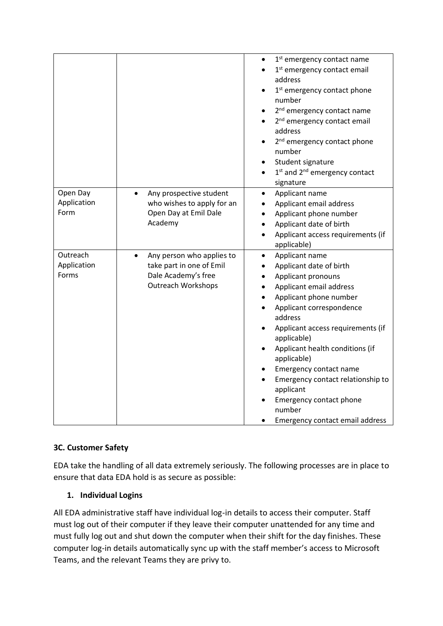|                         |                                                                    | 1 <sup>st</sup> emergency contact name<br>$\bullet$<br>1 <sup>st</sup> emergency contact email<br>address<br>1 <sup>st</sup> emergency contact phone<br>number<br>2 <sup>nd</sup> emergency contact name<br>2 <sup>nd</sup> emergency contact email<br>address<br>2 <sup>nd</sup> emergency contact phone<br>number<br>Student signature<br>1st and 2 <sup>nd</sup> emergency contact<br>$\bullet$<br>signature |
|-------------------------|--------------------------------------------------------------------|-----------------------------------------------------------------------------------------------------------------------------------------------------------------------------------------------------------------------------------------------------------------------------------------------------------------------------------------------------------------------------------------------------------------|
| Open Day<br>Application | Any prospective student<br>$\bullet$<br>who wishes to apply for an | Applicant name<br>$\bullet$<br>Applicant email address<br>$\bullet$                                                                                                                                                                                                                                                                                                                                             |
| Form                    | Open Day at Emil Dale                                              | Applicant phone number<br>$\bullet$                                                                                                                                                                                                                                                                                                                                                                             |
|                         | Academy                                                            | Applicant date of birth<br>$\bullet$                                                                                                                                                                                                                                                                                                                                                                            |
|                         |                                                                    | Applicant access requirements (if<br>$\bullet$                                                                                                                                                                                                                                                                                                                                                                  |
|                         |                                                                    | applicable)                                                                                                                                                                                                                                                                                                                                                                                                     |
| Outreach                | Any person who applies to<br>$\bullet$                             | Applicant name<br>$\bullet$                                                                                                                                                                                                                                                                                                                                                                                     |
| Application             | take part in one of Emil                                           | Applicant date of birth<br>$\bullet$                                                                                                                                                                                                                                                                                                                                                                            |
| Forms                   | Dale Academy's free                                                | Applicant pronouns<br>$\bullet$                                                                                                                                                                                                                                                                                                                                                                                 |
|                         | <b>Outreach Workshops</b>                                          | Applicant email address<br>$\bullet$                                                                                                                                                                                                                                                                                                                                                                            |
|                         |                                                                    | Applicant phone number                                                                                                                                                                                                                                                                                                                                                                                          |
|                         |                                                                    | Applicant correspondence<br>address                                                                                                                                                                                                                                                                                                                                                                             |
|                         |                                                                    | Applicant access requirements (if<br>$\bullet$<br>applicable)                                                                                                                                                                                                                                                                                                                                                   |
|                         |                                                                    | Applicant health conditions (if<br>$\bullet$                                                                                                                                                                                                                                                                                                                                                                    |
|                         |                                                                    | applicable)                                                                                                                                                                                                                                                                                                                                                                                                     |
|                         |                                                                    | Emergency contact name                                                                                                                                                                                                                                                                                                                                                                                          |
|                         |                                                                    | Emergency contact relationship to<br>applicant                                                                                                                                                                                                                                                                                                                                                                  |
|                         |                                                                    | Emergency contact phone                                                                                                                                                                                                                                                                                                                                                                                         |
|                         |                                                                    | number                                                                                                                                                                                                                                                                                                                                                                                                          |
|                         |                                                                    | Emergency contact email address                                                                                                                                                                                                                                                                                                                                                                                 |

# **3C. Customer Safety**

EDA take the handling of all data extremely seriously. The following processes are in place to ensure that data EDA hold is as secure as possible:

## **1. Individual Logins**

All EDA administrative staff have individual log-in details to access their computer. Staff must log out of their computer if they leave their computer unattended for any time and must fully log out and shut down the computer when their shift for the day finishes. These computer log-in details automatically sync up with the staff member's access to Microsoft Teams, and the relevant Teams they are privy to.